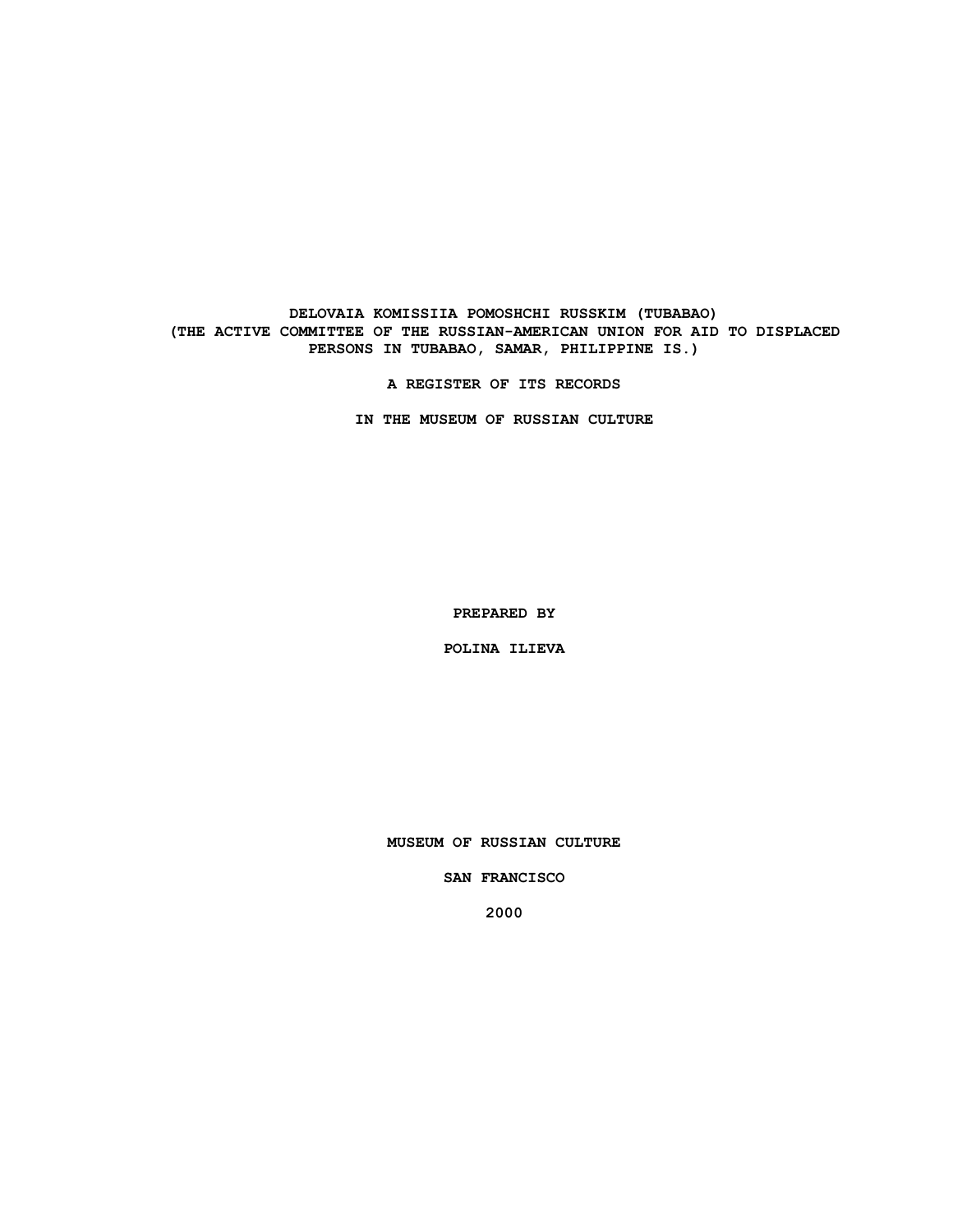## **DELOVAIA KOMISSIIA POMOSHCHI RUSSKIM (TUBABAO) (THE ACTIVE COMMITTEE OF THE RUSSIAN-AMERICAN UNION FOR AID TO DISPLACED PERSONS IN TUBABAO, SAMAR, PHILIPPINE IS.)**

**A REGISTER OF ITS RECORDS**

**IN THE MUSEUM OF RUSSIAN CULTURE**

**PREPARED BY**

**POLINA ILIEVA**

**MUSEUM OF RUSSIAN CULTURE**

**SAN FRANCISCO**

**2000**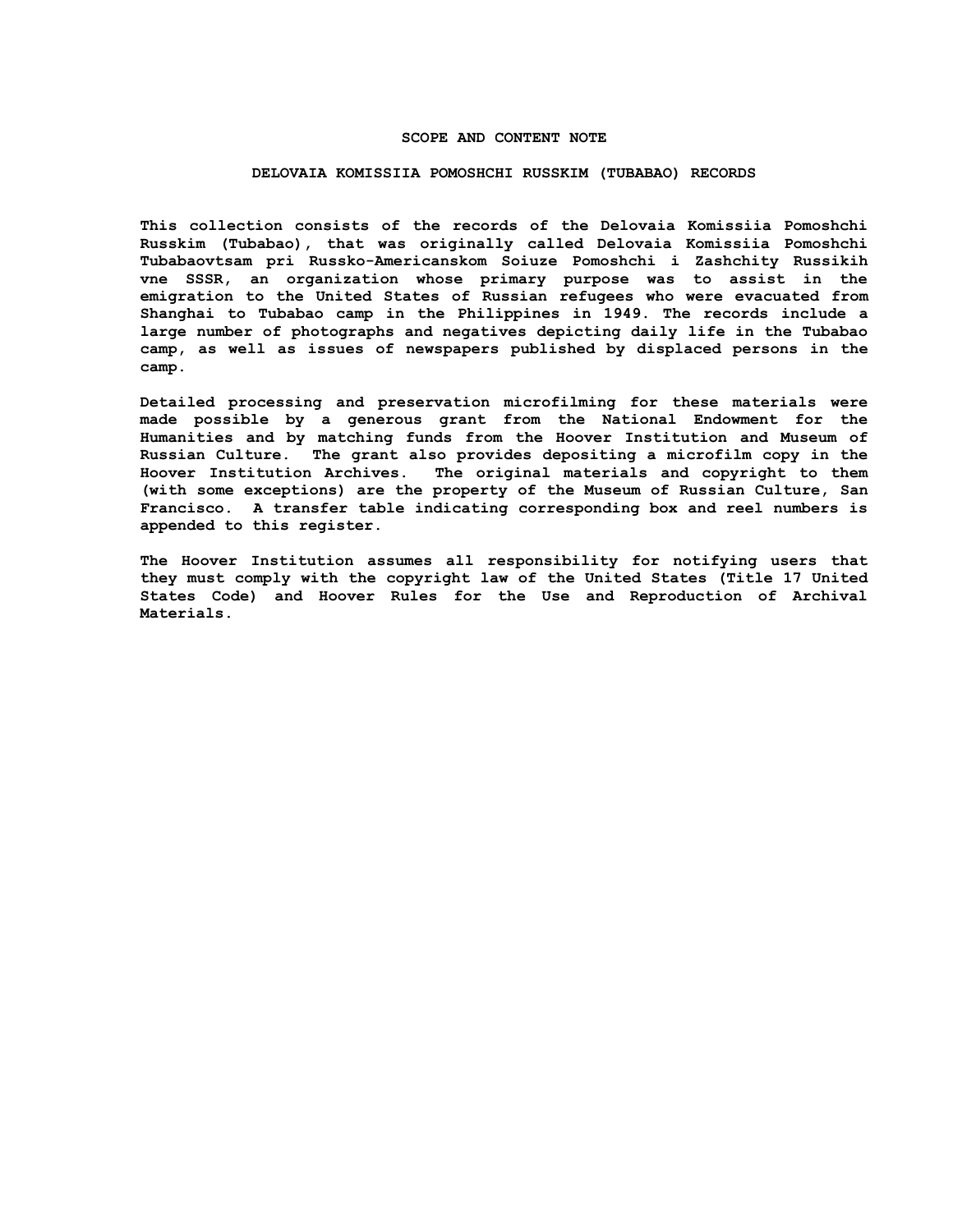### **SCOPE AND CONTENT NOTE**

#### **DELOVAIA KOMISSIIA POMOSHCHI RUSSKIM (TUBABAO) RECORDS**

**This collection consists of the records of the Delovaia Komissiia Pomoshchi Russkim (Tubabao), that was originally called Delovaia Komissiia Pomoshchi Tubabaovtsam pri Russko-Americanskom Soiuze Pomoshchi i Zashchity Russikih vne SSSR, an organization whose primary purpose was to assist in the emigration to the United States of Russian refugees who were evacuated from Shanghai to Tubabao camp in the Philippines in 1949. The records include a large number of photographs and negatives depicting daily life in the Tubabao camp, as well as issues of newspapers published by displaced persons in the camp.**

**Detailed processing and preservation microfilming for these materials were made possible by a generous grant from the National Endowment for the Humanities and by matching funds from the Hoover Institution and Museum of Russian Culture. The grant also provides depositing a microfilm copy in the Hoover Institution Archives. The original materials and copyright to them (with some exceptions) are the property of the Museum of Russian Culture, San Francisco. A transfer table indicating corresponding box and reel numbers is appended to this register.**

**The Hoover Institution assumes all responsibility for notifying users that they must comply with the copyright law of the United States (Title 17 United States Code) and Hoover Rules for the Use and Reproduction of Archival Materials.**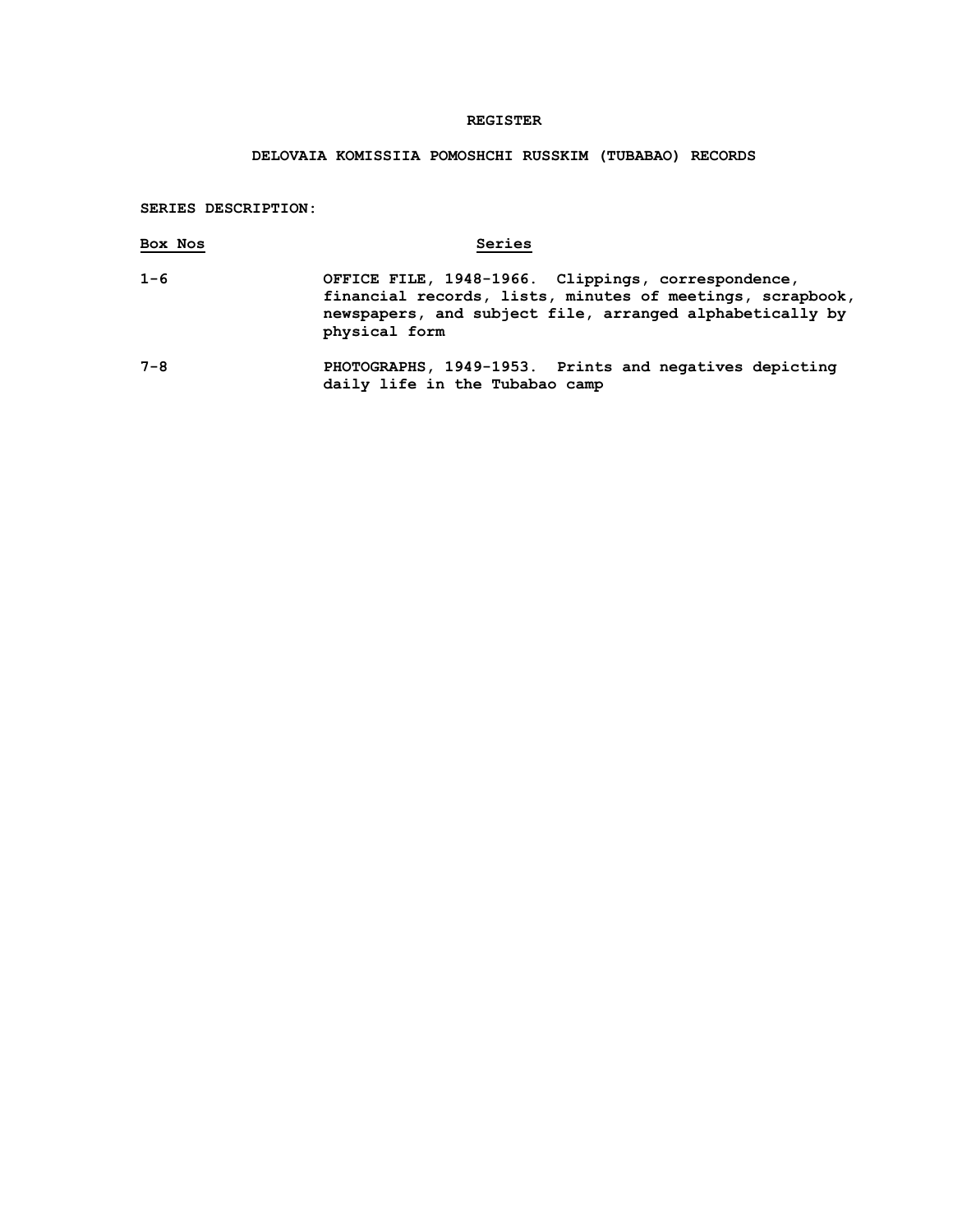## **REGISTER**

# **DELOVAIA KOMISSIIA POMOSHCHI RUSSKIM (TUBABAO) RECORDS**

**SERIES DESCRIPTION:**

| Box Nos | Series                                                                                                                                                                                       |
|---------|----------------------------------------------------------------------------------------------------------------------------------------------------------------------------------------------|
| $1 - 6$ | OFFICE FILE, 1948-1966. Clippings, correspondence,<br>financial records, lists, minutes of meetings, scrapbook,<br>newspapers, and subject file, arranged alphabetically by<br>physical form |
| $7 - 8$ | PHOTOGRAPHS, 1949-1953. Prints and negatives depicting                                                                                                                                       |

**daily life in the Tubabao camp**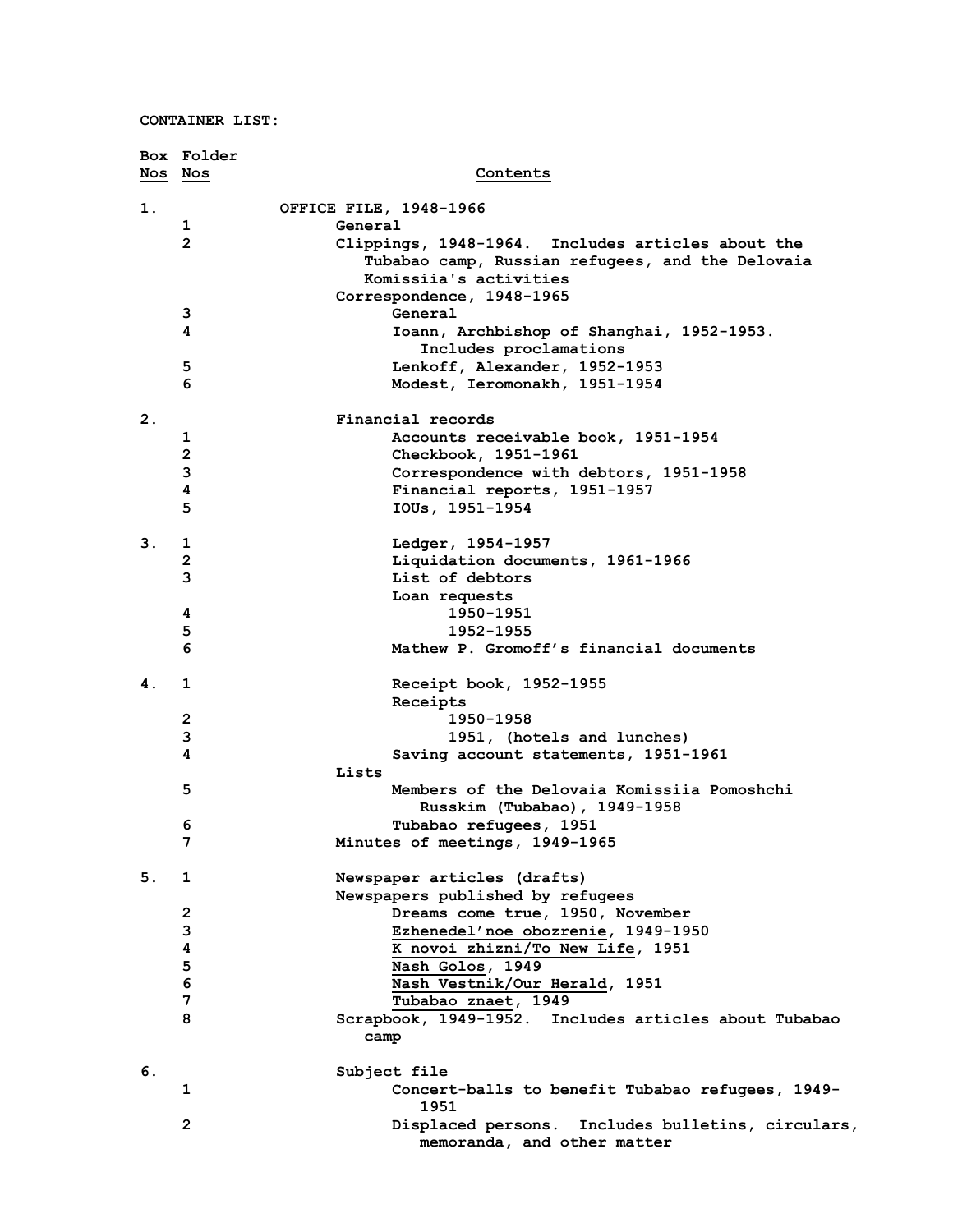|    | Box Folder     |                                                          |
|----|----------------|----------------------------------------------------------|
|    | Nos Nos        | Contents                                                 |
| 1. |                | OFFICE FILE, 1948-1966                                   |
|    | 1              | General                                                  |
|    | $\overline{2}$ | Clippings, 1948-1964. Includes articles about the        |
|    |                | Tubabao camp, Russian refugees, and the Delovaia         |
|    |                | Komissiia's activities                                   |
|    |                | Correspondence, 1948-1965                                |
|    | 3              | General                                                  |
|    | 4              | Ioann, Archbishop of Shanghai, 1952-1953.                |
|    |                | Includes proclamations                                   |
|    | 5              | Lenkoff, Alexander, 1952-1953                            |
|    | 6              | Modest, Ieromonakh, 1951-1954                            |
|    |                |                                                          |
| 2. |                | Financial records                                        |
|    | 1              | Accounts receivable book, 1951-1954                      |
|    | $\mathbf{2}$   | Checkbook, 1951-1961                                     |
|    | 3              | Correspondence with debtors, 1951-1958                   |
|    | 4              | Financial reports, 1951-1957                             |
|    | 5              | IOUs, 1951-1954                                          |
| 3. | 1              |                                                          |
|    | $\overline{2}$ | Ledger, 1954-1957<br>Liquidation documents, 1961-1966    |
|    | 3              | List of debtors                                          |
|    |                |                                                          |
|    |                | Loan requests                                            |
|    | 4<br>5         | 1950-1951<br>1952-1955                                   |
|    | 6              | Mathew P. Gromoff's financial documents                  |
|    |                |                                                          |
| 4. | 1              | Receipt book, 1952-1955                                  |
|    |                | Receipts                                                 |
|    | $\mathbf{2}$   | 1950-1958                                                |
|    | 3              | 1951, (hotels and lunches)                               |
|    | 4              | Saving account statements, 1951-1961                     |
|    |                | Lists                                                    |
|    | 5              | Members of the Delovaia Komissiia Pomoshchi              |
|    |                | Russkim (Tubabao), 1949-1958                             |
|    | 6              | Tubabao refugees, 1951                                   |
|    | 7              | Minutes of meetings, 1949-1965                           |
| 5. | 1              | Newspaper articles (drafts)                              |
|    |                | Newspapers published by refugees                         |
|    | $\mathbf{2}$   | Dreams come true, 1950, November                         |
|    | 3              | Ezhenedel'noe obozrenie, 1949-1950                       |
|    | 4              | K novoi zhizni/To New Life, 1951                         |
|    | 5              | Nash Golos, 1949                                         |
|    | $\bf 6$        | Nash Vestnik/Our Herald, 1951                            |
|    | 7              | Tubabao znaet, 1949                                      |
|    | 8              | Scrapbook, 1949-1952. Includes articles about Tubabao    |
|    |                | camp                                                     |
|    |                |                                                          |
| 6. |                | Subject file                                             |
|    | 1              | Concert-balls to benefit Tubabao refugees, 1949-<br>1951 |
|    | $\overline{2}$ | Displaced persons. Includes bulletins, circulars,        |
|    |                | memoranda, and other matter                              |